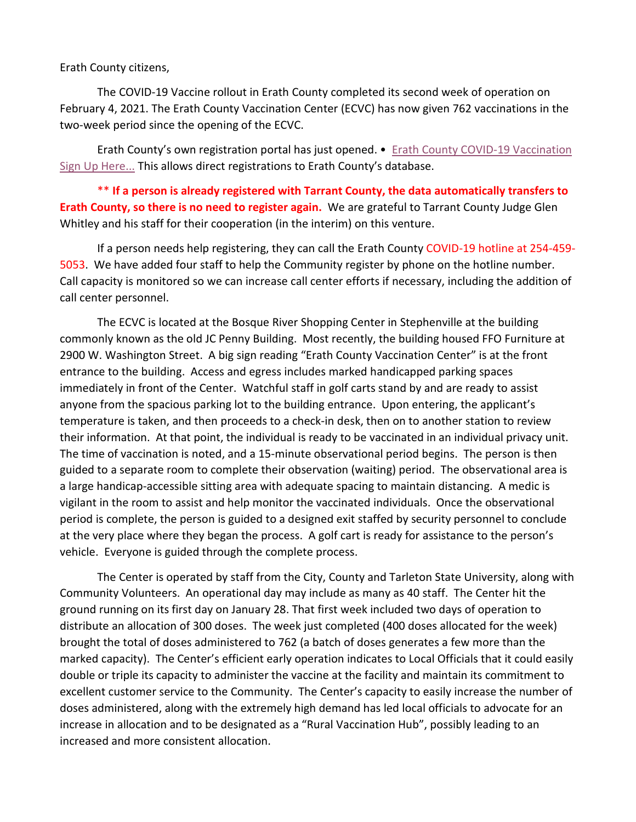## Erath County citizens,

The COVID-19 Vaccine rollout in Erath County completed its second week of operation on February 4, 2021. The Erath County Vaccination Center (ECVC) has now given 762 vaccinations in the two-week period since the opening of the ECVC.

Erath County's own registration portal has just opened. • [Erath County COVID-19 Vaccination](https://erathcounty.quickbase.com/db/bq7gapinn?a=nwr)  [Sign Up Here...](https://erathcounty.quickbase.com/db/bq7gapinn?a=nwr) This allows direct registrations to Erath County's database.

\*\* **If a person is already registered with Tarrant County, the data automatically transfers to Erath County, so there is no need to register again.** We are grateful to Tarrant County Judge Glen Whitley and his staff for their cooperation (in the interim) on this venture.

If a person needs help registering, they can call the Erath County COVID-19 hotline at 254-459- 5053. We have added four staff to help the Community register by phone on the hotline number. Call capacity is monitored so we can increase call center efforts if necessary, including the addition of call center personnel.

The ECVC is located at the Bosque River Shopping Center in Stephenville at the building commonly known as the old JC Penny Building. Most recently, the building housed FFO Furniture at 2900 W. Washington Street. A big sign reading "Erath County Vaccination Center" is at the front entrance to the building. Access and egress includes marked handicapped parking spaces immediately in front of the Center. Watchful staff in golf carts stand by and are ready to assist anyone from the spacious parking lot to the building entrance. Upon entering, the applicant's temperature is taken, and then proceeds to a check-in desk, then on to another station to review their information. At that point, the individual is ready to be vaccinated in an individual privacy unit. The time of vaccination is noted, and a 15-minute observational period begins. The person is then guided to a separate room to complete their observation (waiting) period. The observational area is a large handicap-accessible sitting area with adequate spacing to maintain distancing. A medic is vigilant in the room to assist and help monitor the vaccinated individuals. Once the observational period is complete, the person is guided to a designed exit staffed by security personnel to conclude at the very place where they began the process. A golf cart is ready for assistance to the person's vehicle. Everyone is guided through the complete process.

The Center is operated by staff from the City, County and Tarleton State University, along with Community Volunteers. An operational day may include as many as 40 staff. The Center hit the ground running on its first day on January 28. That first week included two days of operation to distribute an allocation of 300 doses. The week just completed (400 doses allocated for the week) brought the total of doses administered to 762 (a batch of doses generates a few more than the marked capacity). The Center's efficient early operation indicates to Local Officials that it could easily double or triple its capacity to administer the vaccine at the facility and maintain its commitment to excellent customer service to the Community. The Center's capacity to easily increase the number of doses administered, along with the extremely high demand has led local officials to advocate for an increase in allocation and to be designated as a "Rural Vaccination Hub", possibly leading to an increased and more consistent allocation.